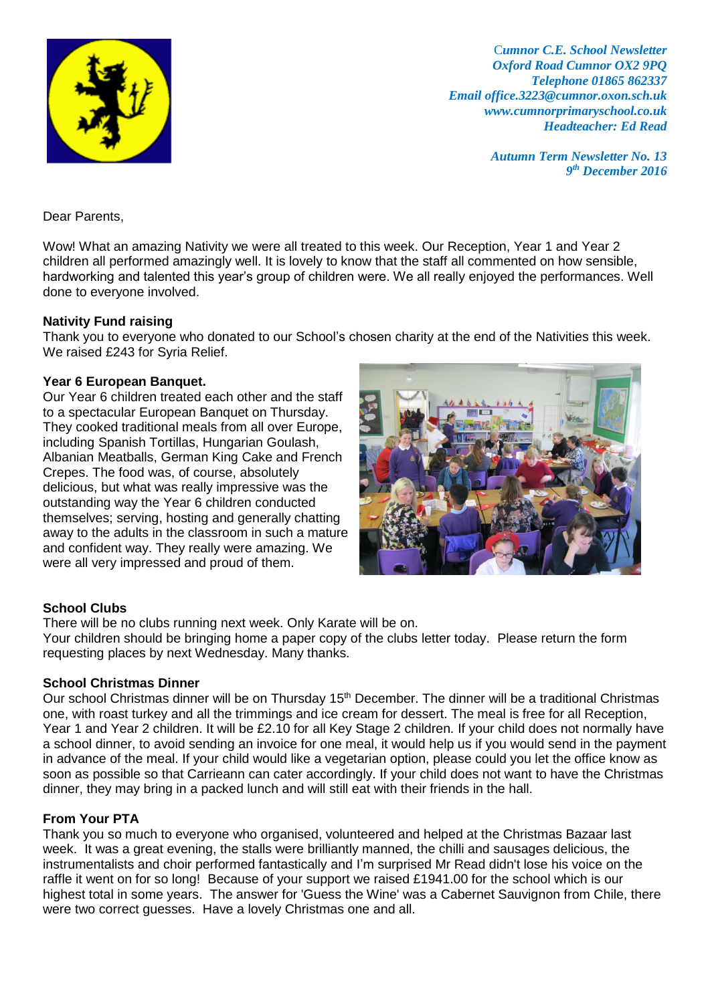

C*umnor C.E. School Newsletter Oxford Road Cumnor OX2 9PQ Telephone 01865 862337 Email office.3223@cumnor.oxon.sch.uk www.cumnorprimaryschool.co.uk Headteacher: Ed Read*

> *Autumn Term Newsletter No. 13 9 th December 2016*

Dear Parents,

Wow! What an amazing Nativity we were all treated to this week. Our Reception, Year 1 and Year 2 children all performed amazingly well. It is lovely to know that the staff all commented on how sensible, hardworking and talented this year's group of children were. We all really enjoyed the performances. Well done to everyone involved.

### **Nativity Fund raising**

Thank you to everyone who donated to our School's chosen charity at the end of the Nativities this week. We raised £243 for Syria Relief.

## **Year 6 European Banquet.**

Our Year 6 children treated each other and the staff to a spectacular European Banquet on Thursday. They cooked traditional meals from all over Europe, including Spanish Tortillas, Hungarian Goulash, Albanian Meatballs, German King Cake and French Crepes. The food was, of course, absolutely delicious, but what was really impressive was the outstanding way the Year 6 children conducted themselves; serving, hosting and generally chatting away to the adults in the classroom in such a mature and confident way. They really were amazing. We were all very impressed and proud of them.



# **School Clubs**

There will be no clubs running next week. Only Karate will be on.

Your children should be bringing home a paper copy of the clubs letter today. Please return the form requesting places by next Wednesday. Many thanks.

### **School Christmas Dinner**

Our school Christmas dinner will be on Thursday 15<sup>th</sup> December. The dinner will be a traditional Christmas one, with roast turkey and all the trimmings and ice cream for dessert. The meal is free for all Reception, Year 1 and Year 2 children. It will be £2.10 for all Key Stage 2 children. If your child does not normally have a school dinner, to avoid sending an invoice for one meal, it would help us if you would send in the payment in advance of the meal. If your child would like a vegetarian option, please could you let the office know as soon as possible so that Carrieann can cater accordingly. If your child does not want to have the Christmas dinner, they may bring in a packed lunch and will still eat with their friends in the hall.

### **From Your PTA**

Thank you so much to everyone who organised, volunteered and helped at the Christmas Bazaar last week. It was a great evening, the stalls were brilliantly manned, the chilli and sausages delicious, the instrumentalists and choir performed fantastically and I'm surprised Mr Read didn't lose his voice on the raffle it went on for so long! Because of your support we raised £1941.00 for the school which is our highest total in some years. The answer for 'Guess the Wine' was a Cabernet Sauvignon from Chile, there were two correct guesses. Have a lovely Christmas one and all.